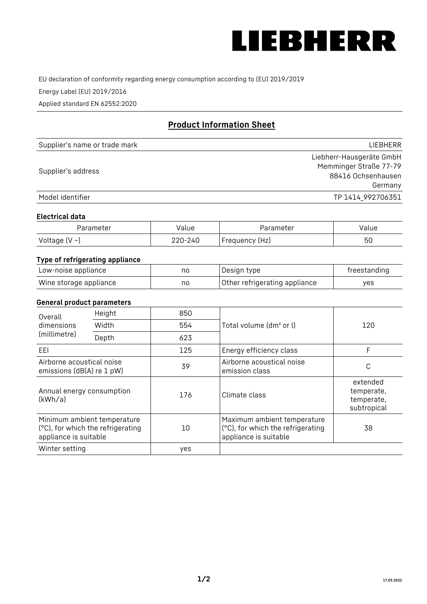

EU declaration of conformity regarding energy consumption according to (EU) 2019/2019

Energy Label (EU) 2019/2016

Applied standard EN 62552:2020

# **Product Information Sheet**

| Supplier's name or trade mark | <b>LIFBHFRR</b>          |
|-------------------------------|--------------------------|
|                               | Liebherr-Hausgeräte GmbH |
| Supplier's address            | Memminger Straße 77-79   |
|                               | 88416 Ochsenhausen       |
|                               | Germany                  |
| Model identifier              | TP 1414 992706351        |

#### **Electrical data**

| Parameter           | Value   | Parameter      | Value |
|---------------------|---------|----------------|-------|
| Voltage (V $\sim$ ) | 220-240 | Frequency (Hz) | 50    |

## **Type of refrigerating appliance**

| Low-noise appliance    | nc | Design type                   | freestanding |
|------------------------|----|-------------------------------|--------------|
| Wine storage appliance | nc | Other refrigerating appliance | ves          |

## **General product parameters**

| Height<br>Overall                                      |                                                                  | 850 |                                                                                           |                                                     |
|--------------------------------------------------------|------------------------------------------------------------------|-----|-------------------------------------------------------------------------------------------|-----------------------------------------------------|
| dimensions<br>(millimetre)                             | Width                                                            | 554 | Total volume (dm <sup>3</sup> or l)                                                       | 120                                                 |
|                                                        | Depth                                                            | 623 |                                                                                           |                                                     |
| EEL                                                    |                                                                  | 125 | Energy efficiency class                                                                   | F                                                   |
| Airborne acoustical noise<br>emissions (dB(A) re 1 pW) |                                                                  | 39  | Airborne acoustical noise<br>emission class                                               | С                                                   |
| Annual energy consumption<br>(kWh/a)                   |                                                                  | 176 | Climate class                                                                             | extended<br>temperate,<br>temperate,<br>subtropical |
| appliance is suitable                                  | Minimum ambient temperature<br>(°C), for which the refrigerating | 10  | Maximum ambient temperature<br>(°C), for which the refrigerating<br>appliance is suitable | 38                                                  |
| Winter setting                                         |                                                                  | yes |                                                                                           |                                                     |